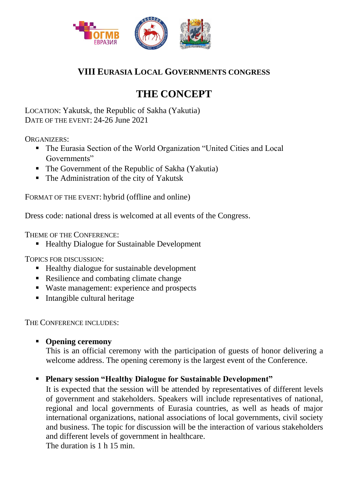

## **VIII EURASIA LOCAL GOVERNMENTS CONGRESS**

# **THE CONCEPT**

LOCATION: Yakutsk, the Republic of Sakha (Yakutia) DATE OF THE EVENT: 24-26 June 2021

ORGANIZERS:

- The Eurasia Section of the World Organization "United Cities and Local Governments"
- The Government of the Republic of Sakha (Yakutia)
- The Administration of the city of Yakutsk

FORMAT OF THE EVENT: hybrid (offline and online)

Dress code: national dress is welcomed at all events of the Congress.

THEME OF THE CONFERENCE:

■ Healthy Dialogue for Sustainable Development

TOPICS FOR DISCUSSION:

- Healthy dialogue for sustainable development
- Resilience and combating climate change
- Waste management: experience and prospects
- Intangible cultural heritage

THE CONFERENCE INCLUDES:

**Opening ceremony**

This is an official ceremony with the participation of guests of honor delivering a welcome address. The opening ceremony is the largest event of the Conference.

### **Plenary session "Healthy Dialogue for Sustainable Development"**

It is expected that the session will be attended by representatives of different levels of government and stakeholders. Speakers will include representatives of national, regional and local governments of Eurasia countries, as well as heads of major international organizations, national associations of local governments, civil society and business. The topic for discussion will be the interaction of various stakeholders and different levels of government in healthcare.

The duration is 1 h 15 min.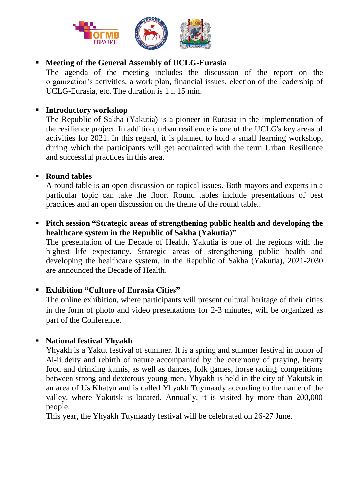

#### **Meeting of the General Assembly of UCLG-Eurasia**

The agenda of the meeting includes the discussion of the report on the organization's activities, a work plan, financial issues, election of the leadership of UCLG-Eurasia, etc. The duration is 1 h 15 min.

#### **Introductory workshop**

The Republic of Sakha (Yakutia) is a pioneer in Eurasia in the implementation of the resilience project. In addition, urban resilience is one of the UCLG's key areas of activities for 2021. In this regard, it is planned to hold a small learning workshop, during which the participants will get acquainted with the term Urban Resilience and successful practices in this area.

#### **Round tables**

A round table is an open discussion on topical issues. Both mayors and experts in a particular topic can take the floor. Round tables include presentations of best practices and an open discussion on the theme of the round table..

 **Pitch session "Strategic areas of strengthening public health and developing the healthcare system in the Republic of Sakha (Yakutia)"**

The presentation of the Decade of Health. Yakutia is one of the regions with the highest life expectancy. Strategic areas of strengthening public health and developing the healthcare system. In the Republic of Sakha (Yakutia), 2021-2030 are announced the Decade of Health.

#### **Exhibition "Culture of Eurasia Cities"**

The online exhibition, where participants will present cultural heritage of their cities in the form of photo and video presentations for 2-3 minutes, will be organized as part of the Conference.

#### **National festival Yhyakh**

Yhyakh is a Yakut festival of summer. It is a spring and summer festival in honor of Ai-ii deity and rebirth of nature accompanied by the ceremony of praying, hearty food and drinking kumis, as well as dances, folk games, horse racing, competitions between strong and dexterous young men. Yhyakh is held in the city of Yakutsk in an area of Us Khatyn and is called Yhyаkh Tuymaady according to the name of the valley, where Yakutsk is located. Annually, it is visited by more than 200,000 people.

This year, the Yhyаkh Tuymaady festival will be celebrated on 26-27 June.